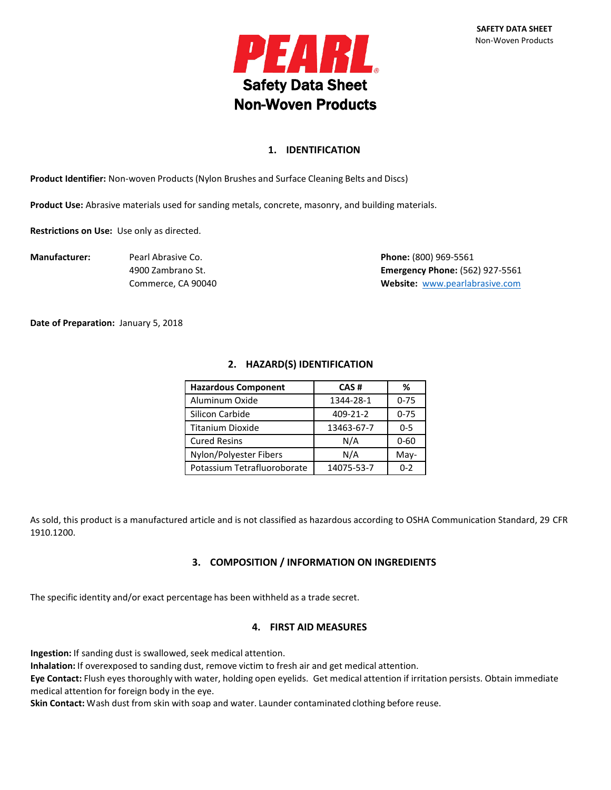

# **1. IDENTIFICATION**

**Product Identifier:** Non-woven Products(Nylon Brushes and Surface Cleaning Belts and Discs)

**Product Use:** Abrasive materials used for sanding metals, concrete, masonry, and building materials.

**Restrictions on Use:** Use only as directed.

**Manufacturer:** Pearl Abrasive Co. **Phone:** (800) 969-5561 4900 Zambrano St. **Emergency Phone:** (562) 927-5561 Commerce, CA 90040 **Website:** [www.pearlabrasive.com](http://www.pearlabrasive.com/)

**Date of Preparation:** January 5, 2018

# **2. HAZARD(S) IDENTIFICATION**

| <b>Hazardous Component</b>  | CAS#       | %        |
|-----------------------------|------------|----------|
| Aluminum Oxide              | 1344-28-1  | $0 - 75$ |
| Silicon Carbide             | 409-21-2   | $0 - 75$ |
| <b>Titanium Dioxide</b>     | 13463-67-7 | $0 - 5$  |
| <b>Cured Resins</b>         | N/A        | $0 - 60$ |
| Nylon/Polyester Fibers      | N/A        | May-     |
| Potassium Tetrafluoroborate | 14075-53-7 | $0 - 2$  |

As sold, this product is a manufactured article and is not classified as hazardous according to OSHA Communication Standard, 29 CFR 1910.1200.

# **3. COMPOSITION / INFORMATION ON INGREDIENTS**

The specific identity and/or exact percentage has been withheld as a trade secret.

## **4. FIRST AID MEASURES**

Ingestion: If sanding dust is swallowed, seek medical attention.

**Inhalation:** If overexposed to sanding dust, remove victim to fresh air and get medical attention.

**Eye Contact:** Flush eyes thoroughly with water, holding open eyelids. Get medical attention if irritation persists. Obtain immediate medical attention for foreign body in the eye.

**Skin Contact:** Wash dust from skin with soap and water. Launder contaminated clothing before reuse.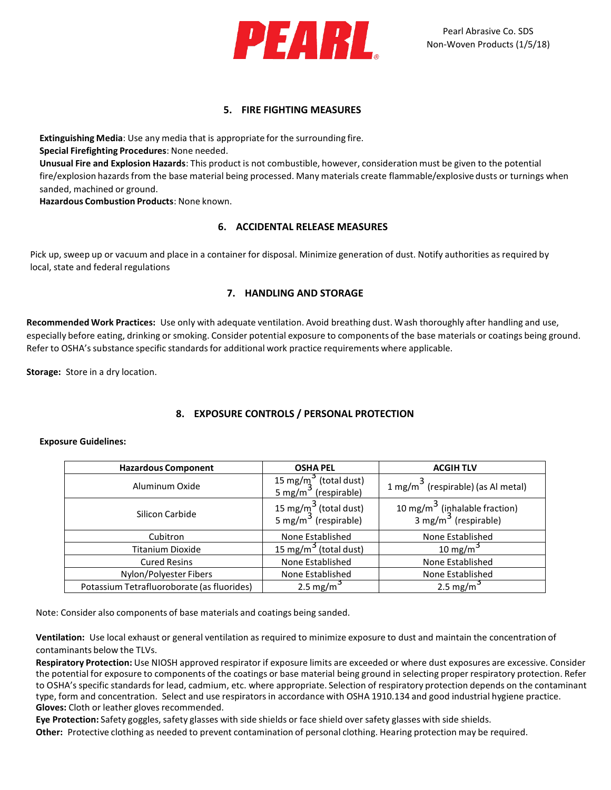

# **5. FIRE FIGHTING MEASURES**

**Extinguishing Media**: Use any media that is appropriate for the surrounding fire. **Special Firefighting Procedures**: None needed. **Unusual Fire and Explosion Hazards**: This product is not combustible, however, consideration must be given to the potential fire/explosion hazards from the base material being processed. Many materials create flammable/explosive dusts or turnings when sanded, machined or ground.

**Hazardous Combustion Products**: None known.

# **6. ACCIDENTAL RELEASE MEASURES**

Pick up, sweep up or vacuum and place in a container for disposal. Minimize generation of dust. Notify authorities as required by local, state and federal regulations

# **7. HANDLING AND STORAGE**

**Recommended Work Practices:** Use only with adequate ventilation. Avoid breathing dust. Wash thoroughly after handling and use, especially before eating, drinking or smoking. Consider potential exposure to components of the base materials or coatings being ground. Refer to OSHA's substance specific standards for additional work practice requirements where applicable.

**Storage:** Store in a dry location.

# **8. EXPOSURE CONTROLS / PERSONAL PROTECTION**

### **Exposure Guidelines:**

| <b>Hazardous Component</b>                 | <b>OSHA PEL</b>                                                       | <b>ACGIHTLV</b>                                                               |
|--------------------------------------------|-----------------------------------------------------------------------|-------------------------------------------------------------------------------|
| Aluminum Oxide                             | 15 mg/m <sup>3</sup> (total dust)<br>5 mg/m <sup>3</sup> (respirable) | 1 mg/m <sup>3</sup> (respirable) (as Al metal)                                |
| Silicon Carbide                            | 15 mg/m $3$ (total dust)<br>5 mg/m $3$ (respirable)                   | 10 mg/m <sup>3</sup> (inhalable fraction)<br>3 mg/m <sup>3</sup> (respirable) |
| Cubitron                                   | None Established                                                      | None Established                                                              |
| <b>Titanium Dioxide</b>                    | 15 mg/m <sup>3</sup> (total dust)                                     | 10 mg/m <sup>3</sup>                                                          |
| <b>Cured Resins</b>                        | None Established                                                      | None Established                                                              |
| Nylon/Polyester Fibers                     | None Established                                                      | None Established                                                              |
| Potassium Tetrafluoroborate (as fluorides) | 2.5 mg/m <sup>3</sup>                                                 | 2.5 mg/m <sup>3</sup>                                                         |

Note: Consider also components of base materials and coatings being sanded.

**Ventilation:** Use local exhaust or general ventilation as required to minimize exposure to dust and maintain the concentration of contaminants below the TLVs.

**Respiratory Protection:** Use NIOSH approved respirator if exposure limits are exceeded or where dust exposures are excessive. Consider the potential for exposure to components of the coatings or base material being ground in selecting proper respiratory protection. Refer to OSHA's specific standardsfor lead, cadmium, etc. where appropriate. Selection of respiratory protection depends on the contaminant type, form and concentration. Select and use respiratorsin accordance with OSHA 1910.134 and good industrial hygiene practice. **Gloves:** Cloth or leather gloves recommended.

**Eye Protection:** Safety goggles, safety glasses with side shields or face shield over safety glasses with side shields. **Other:** Protective clothing as needed to prevent contamination of personal clothing. Hearing protection may be required.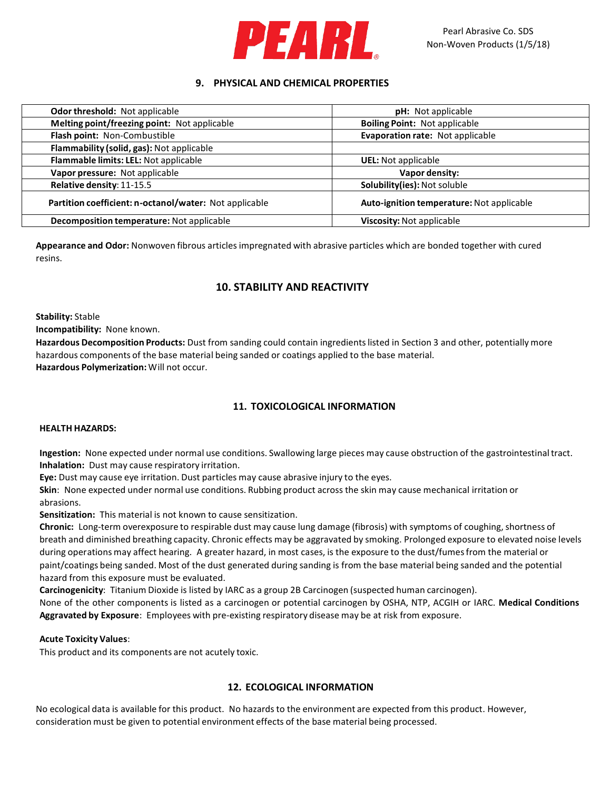

# **9. PHYSICAL AND CHEMICAL PROPERTIES**

| Odor threshold: Not applicable                         | <b>pH:</b> Not applicable                 |  |
|--------------------------------------------------------|-------------------------------------------|--|
| Melting point/freezing point: Not applicable           | <b>Boiling Point: Not applicable</b>      |  |
| Flash point: Non-Combustible                           | Evaporation rate: Not applicable          |  |
| Flammability (solid, gas): Not applicable              |                                           |  |
| Flammable limits: LEL: Not applicable                  | <b>UEL:</b> Not applicable                |  |
| Vapor pressure: Not applicable                         | Vapor density:                            |  |
| Relative density: 11-15.5                              | Solubility(ies): Not soluble              |  |
| Partition coefficient: n-octanol/water: Not applicable | Auto-ignition temperature: Not applicable |  |
| Decomposition temperature: Not applicable              | Viscosity: Not applicable                 |  |

**Appearance and Odor:** Nonwoven fibrous articles impregnated with abrasive particles which are bonded together with cured resins.

# **10. STABILITY AND REACTIVITY**

**Stability:** Stable

**Incompatibility:** None known.

**Hazardous Decomposition Products:** Dust from sanding could contain ingredientslisted in Section 3 and other, potentially more hazardous components of the base material being sanded or coatings applied to the base material. **Hazardous Polymerization:**Will not occur.

# **11. TOXICOLOGICAL INFORMATION**

## **HEALTH HAZARDS:**

**Ingestion:** None expected under normal use conditions. Swallowing large pieces may cause obstruction of the gastrointestinaltract. **Inhalation:** Dust may cause respiratory irritation.

**Eye:** Dust may cause eye irritation. Dust particles may cause abrasive injury to the eyes.

**Skin**: None expected under normal use conditions. Rubbing product across the skin may cause mechanical irritation or abrasions.

**Sensitization:** This material is not known to cause sensitization.

**Chronic:** Long-term overexposure to respirable dust may cause lung damage (fibrosis) with symptoms of coughing, shortness of breath and diminished breathing capacity. Chronic effects may be aggravated by smoking. Prolonged exposure to elevated noise levels during operations may affect hearing. A greater hazard, in most cases, is the exposure to the dust/fumes from the material or paint/coatings being sanded. Most of the dust generated during sanding is from the base material being sanded and the potential hazard from this exposure must be evaluated.

**Carcinogenicity**: Titanium Dioxide is listed by IARC as a group 2B Carcinogen (suspected human carcinogen).

None of the other components is listed as a carcinogen or potential carcinogen by OSHA, NTP, ACGIH or IARC. **Medical Conditions Aggravated by Exposure**: Employees with pre-existing respiratory disease may be at risk from exposure.

### **Acute Toxicity Values**:

This product and its components are not acutely toxic.

## **12. ECOLOGICAL INFORMATION**

No ecological data is available for this product. No hazards to the environment are expected from this product. However, consideration must be given to potential environment effects of the base material being processed.